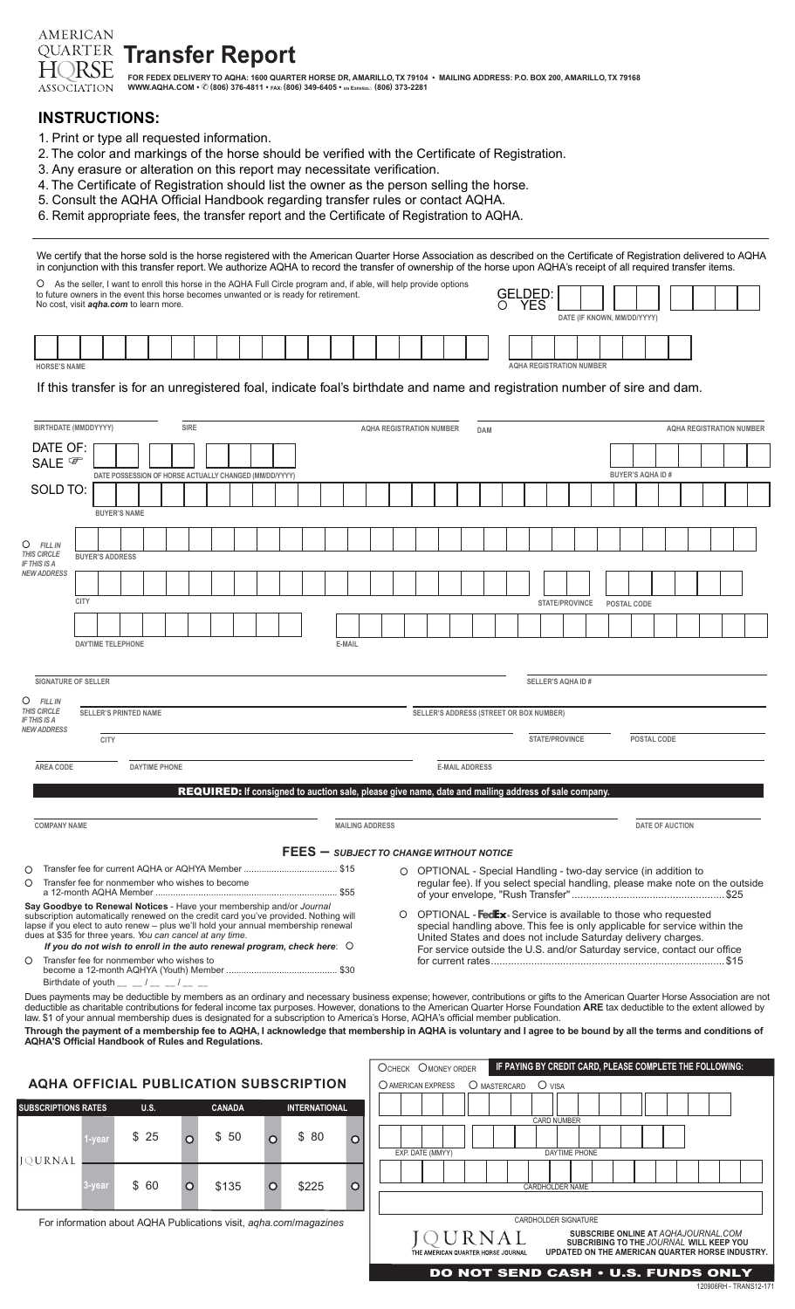**Transfer Report HQRSE** FOR FEDEX DELIVERY TO AQHA: 1600 QUARTER HORSE DR, AMARILLO, TX 79104 ∙ MAILING ADDRESS: P.O. BOX 200, AMARILLO, TX 79168<br>WWW.AQHA.COM • © (806) 376-4811 • fax: (806) 349-6405 • en español: (806) 373-2281 ASSOCIATION

## **INSTRUCTIONS:**

**AMERICAN QUARTER** 

- 1. Print or type all requested information.
- 2. The color and markings of the horse should be verified with the Certificate of Registration.
- 3. Any erasure or alteration on this report may necessitate verification.
- 4. The Certificate of Registration should list the owner as the person selling the horse.
- 5. Consult the AQHA Official Handbook regarding transfer rules or contact AQHA.
- 6. Remit appropriate fees, the transfer report and the Certificate of Registration to AQHA.

| We certify that the horse sold is the horse registered with the American Quarter Horse Association as described on the Certificate of Registration delivered to AQHA<br>in conjunction with this transfer report. We authorize AQHA to record the transfer of ownership of the horse upon AQHA's receipt of all required transfer items.                                                                      |      |                              |                     |      |                      |             |               |                                                                                                                    |                                         |          |                        |         |                  |                                                               |              |   |         |            |                                 |  |                             |                         |                        |                                                                                                                                                |  |  |
|---------------------------------------------------------------------------------------------------------------------------------------------------------------------------------------------------------------------------------------------------------------------------------------------------------------------------------------------------------------------------------------------------------------|------|------------------------------|---------------------|------|----------------------|-------------|---------------|--------------------------------------------------------------------------------------------------------------------|-----------------------------------------|----------|------------------------|---------|------------------|---------------------------------------------------------------|--------------|---|---------|------------|---------------------------------|--|-----------------------------|-------------------------|------------------------|------------------------------------------------------------------------------------------------------------------------------------------------|--|--|
| O<br>to future owners in the event this horse becomes unwanted or is ready for retirement.                                                                                                                                                                                                                                                                                                                    |      |                              |                     |      |                      |             |               | As the seller, I want to enroll this horse in the AQHA Full Circle program and, if able, will help provide options |                                         |          |                        |         |                  |                                                               |              |   | GELDED: |            |                                 |  |                             |                         |                        |                                                                                                                                                |  |  |
| No cost, visit <i>agha.com</i> to learn more.                                                                                                                                                                                                                                                                                                                                                                 |      |                              |                     |      |                      |             |               |                                                                                                                    |                                         |          |                        |         |                  |                                                               |              | ◯ |         | <b>YES</b> |                                 |  | DATE (IF KNOWN, MM/DD/YYYY) |                         |                        |                                                                                                                                                |  |  |
|                                                                                                                                                                                                                                                                                                                                                                                                               |      |                              |                     |      |                      |             |               |                                                                                                                    |                                         |          |                        |         |                  |                                                               |              |   |         |            |                                 |  |                             |                         |                        |                                                                                                                                                |  |  |
| <b>HORSE'S NAME</b>                                                                                                                                                                                                                                                                                                                                                                                           |      |                              |                     |      |                      |             |               |                                                                                                                    |                                         |          |                        |         |                  |                                                               |              |   |         |            | <b>AQHA REGISTRATION NUMBER</b> |  |                             |                         |                        |                                                                                                                                                |  |  |
| If this transfer is for an unregistered foal, indicate foal's birthdate and name and registration number of sire and dam.                                                                                                                                                                                                                                                                                     |      |                              |                     |      |                      |             |               |                                                                                                                    |                                         |          |                        |         |                  |                                                               |              |   |         |            |                                 |  |                             |                         |                        |                                                                                                                                                |  |  |
| BIRTHDATE (MMDDYYYY)                                                                                                                                                                                                                                                                                                                                                                                          |      |                              |                     |      |                      | <b>SIRE</b> |               |                                                                                                                    |                                         |          |                        |         |                  | <b>AQHA REGISTRATION NUMBER</b>                               | <b>DAM</b>   |   |         |            |                                 |  |                             |                         |                        | <b>AQHA REGISTRATION NUMBER</b>                                                                                                                |  |  |
| DATE OF:<br>SALE <sup>®</sup>                                                                                                                                                                                                                                                                                                                                                                                 |      |                              |                     |      |                      |             |               |                                                                                                                    |                                         |          |                        |         |                  |                                                               |              |   |         |            |                                 |  |                             | <b>BUYER'S AQHA ID#</b> |                        |                                                                                                                                                |  |  |
| SOLD TO:                                                                                                                                                                                                                                                                                                                                                                                                      |      |                              |                     |      |                      |             |               | DATE POSSESSION OF HORSE ACTUALLY CHANGED (MM/DD/YYYY)                                                             |                                         |          |                        |         |                  |                                                               |              |   |         |            |                                 |  |                             |                         |                        |                                                                                                                                                |  |  |
|                                                                                                                                                                                                                                                                                                                                                                                                               |      |                              | <b>BUYER'S NAME</b> |      |                      |             |               |                                                                                                                    |                                         |          |                        |         |                  |                                                               |              |   |         |            |                                 |  |                             |                         |                        |                                                                                                                                                |  |  |
| $\circ$<br><b>FILL IN</b>                                                                                                                                                                                                                                                                                                                                                                                     |      |                              |                     |      |                      |             |               |                                                                                                                    |                                         |          |                        |         |                  |                                                               |              |   |         |            |                                 |  |                             |                         |                        |                                                                                                                                                |  |  |
| <b>THIS CIRCLE</b><br><b>IF THIS IS A</b><br><b>NEW ADDRESS</b>                                                                                                                                                                                                                                                                                                                                               |      | <b>BUYER'S ADDRESS</b>       |                     |      |                      |             |               |                                                                                                                    |                                         |          |                        |         |                  |                                                               |              |   |         |            |                                 |  |                             |                         |                        |                                                                                                                                                |  |  |
|                                                                                                                                                                                                                                                                                                                                                                                                               | CITY |                              |                     |      |                      |             |               |                                                                                                                    |                                         |          |                        |         |                  |                                                               |              |   |         |            | STATE/PROVINCE                  |  | POSTAL CODE                 |                         |                        |                                                                                                                                                |  |  |
|                                                                                                                                                                                                                                                                                                                                                                                                               |      |                              |                     |      |                      |             |               |                                                                                                                    |                                         |          |                        |         |                  |                                                               |              |   |         |            |                                 |  |                             |                         |                        |                                                                                                                                                |  |  |
|                                                                                                                                                                                                                                                                                                                                                                                                               |      | <b>DAYTIME TELEPHONE</b>     |                     |      |                      |             |               |                                                                                                                    |                                         | E-MAIL   |                        |         |                  |                                                               |              |   |         |            |                                 |  |                             |                         |                        |                                                                                                                                                |  |  |
|                                                                                                                                                                                                                                                                                                                                                                                                               |      |                              |                     |      |                      |             |               |                                                                                                                    |                                         |          |                        |         |                  |                                                               |              |   |         |            |                                 |  |                             |                         |                        |                                                                                                                                                |  |  |
| <b>SIGNATURE OF SELLER</b><br>O<br><b>FILL IN</b>                                                                                                                                                                                                                                                                                                                                                             |      |                              |                     |      |                      |             |               |                                                                                                                    |                                         |          |                        |         |                  |                                                               |              |   |         |            | SELLER'S AQHA ID #              |  |                             |                         |                        |                                                                                                                                                |  |  |
| <b>THIS CIRCLE</b><br><b>IF THIS IS A</b>                                                                                                                                                                                                                                                                                                                                                                     |      | <b>SELLER'S PRINTED NAME</b> |                     |      |                      |             |               |                                                                                                                    |                                         |          |                        |         |                  | SELLER'S ADDRESS (STREET OR BOX NUMBER)                       |              |   |         |            |                                 |  |                             |                         |                        |                                                                                                                                                |  |  |
| <b>NEW ADDRESS</b>                                                                                                                                                                                                                                                                                                                                                                                            |      | <b>CITY</b>                  |                     |      |                      |             |               |                                                                                                                    |                                         |          |                        |         |                  |                                                               |              |   |         |            | STATE/PROVINCE                  |  |                             | POSTAL CODE             |                        |                                                                                                                                                |  |  |
| AREA CODE                                                                                                                                                                                                                                                                                                                                                                                                     |      |                              |                     |      | <b>DAYTIME PHONE</b> |             |               |                                                                                                                    |                                         |          |                        |         |                  | <b>E-MAIL ADDRESS</b>                                         |              |   |         |            |                                 |  |                             |                         |                        |                                                                                                                                                |  |  |
|                                                                                                                                                                                                                                                                                                                                                                                                               |      |                              |                     |      |                      |             |               | <b>REQUIRED:</b> If consigned to auction sale, please give name, date and mailing address of sale company.         |                                         |          |                        |         |                  |                                                               |              |   |         |            |                                 |  |                             |                         |                        |                                                                                                                                                |  |  |
| <b>COMPANY NAME</b>                                                                                                                                                                                                                                                                                                                                                                                           |      |                              |                     |      |                      |             |               |                                                                                                                    |                                         |          | <b>MAILING ADDRESS</b> |         |                  |                                                               |              |   |         |            |                                 |  |                             |                         | <b>DATE OF AUCTION</b> |                                                                                                                                                |  |  |
|                                                                                                                                                                                                                                                                                                                                                                                                               |      |                              |                     |      |                      |             |               |                                                                                                                    | FEES - SUBJECT TO CHANGE WITHOUT NOTICE |          |                        |         |                  |                                                               |              |   |         |            |                                 |  |                             |                         |                        |                                                                                                                                                |  |  |
| O<br>Transfer fee for nonmember who wishes to become<br>O                                                                                                                                                                                                                                                                                                                                                     |      |                              |                     |      |                      |             |               |                                                                                                                    |                                         |          |                        | $\circ$ |                  |                                                               |              |   |         |            |                                 |  |                             |                         |                        | OPTIONAL - Special Handling - two-day service (in addition to<br>regular fee). If you select special handling, please make note on the outside |  |  |
| Say Goodbye to Renewal Notices - Have your membership and/or Journal                                                                                                                                                                                                                                                                                                                                          |      |                              |                     |      |                      |             |               |                                                                                                                    |                                         |          |                        | $\circ$ |                  |                                                               |              |   |         |            |                                 |  |                             |                         |                        | OPTIONAL - FedEx. Service is available to those who requested                                                                                  |  |  |
| subscription automatically renewed on the credit card you've provided. Nothing will<br>lapse if you elect to auto renew - plus we'll hold your annual membership renewal<br>dues at \$35 for three years. You can cancel at any time.                                                                                                                                                                         |      |                              |                     |      |                      |             |               |                                                                                                                    |                                         |          |                        |         |                  | United States and does not include Saturday delivery charges. |              |   |         |            |                                 |  |                             |                         |                        | special handling above. This fee is only applicable for service within the                                                                     |  |  |
| If you do not wish to enroll in the auto renewal program, check here: O<br>Transfer fee for nonmember who wishes to<br>O                                                                                                                                                                                                                                                                                      |      |                              |                     |      |                      |             |               |                                                                                                                    |                                         |          |                        |         |                  |                                                               |              |   |         |            |                                 |  |                             |                         |                        | For service outside the U.S. and/or Saturday service, contact our office                                                                       |  |  |
| Birthdate of youth __ _ _/ __ _/ __ __ / __<br>Dues payments may be deductible by members as an ordinary and necessary business expense; however, contributions or gifts to the American Quarter Horse Association are not<br>deductible as charitable contributions for federal income tax purposes. However, donations to the American Quarter Horse Foundation ARE tax deductible to the extent allowed by |      |                              |                     |      |                      |             |               |                                                                                                                    |                                         |          |                        |         |                  |                                                               |              |   |         |            |                                 |  |                             |                         |                        |                                                                                                                                                |  |  |
| law. \$1 of your annual membership dues is designated for a subscription to America's Horse, AQHA's official member publication.<br>Through the payment of a membership fee to AQHA, I acknowledge that membership in AQHA is voluntary and I agree to be bound by all the terms and conditions of<br>AQHA'S Official Handbook of Rules and Regulations.                                                      |      |                              |                     |      |                      |             |               |                                                                                                                    |                                         |          |                        |         |                  |                                                               |              |   |         |            |                                 |  |                             |                         |                        |                                                                                                                                                |  |  |
|                                                                                                                                                                                                                                                                                                                                                                                                               |      |                              |                     |      |                      |             |               |                                                                                                                    |                                         |          |                        |         |                  | OCHECK OMONEY ORDER                                           |              |   |         |            |                                 |  |                             |                         |                        | IF PAYING BY CREDIT CARD, PLEASE COMPLETE THE FOLLOWING:                                                                                       |  |  |
| <b>AQHA OFFICIAL PUBLICATION SUBSCRIPTION</b>                                                                                                                                                                                                                                                                                                                                                                 |      |                              |                     |      |                      |             |               |                                                                                                                    |                                         |          |                        |         |                  | O AMERICAN EXPRESS                                            | O MASTERCARD |   |         |            | $O$ visa                        |  |                             |                         |                        |                                                                                                                                                |  |  |
| <b>SUBSCRIPTIONS RATES</b>                                                                                                                                                                                                                                                                                                                                                                                    |      |                              |                     | U.S. |                      |             | <b>CANADA</b> |                                                                                                                    | <b>INTERNATIONAL</b>                    |          |                        |         |                  |                                                               |              |   |         |            | <b>CARD NUMBER</b>              |  |                             |                         |                        |                                                                                                                                                |  |  |
|                                                                                                                                                                                                                                                                                                                                                                                                               |      | l-year                       |                     | \$25 |                      | $\circ$     | \$ 50         | $\Omega$                                                                                                           | \$80                                    | $\circ$  |                        |         |                  |                                                               |              |   |         |            |                                 |  |                             |                         |                        |                                                                                                                                                |  |  |
| JQURNAL                                                                                                                                                                                                                                                                                                                                                                                                       |      |                              |                     |      |                      |             |               |                                                                                                                    |                                         |          |                        |         | EXP. DATE (MMYY) |                                                               |              |   |         |            | DAYTIME PHONE                   |  |                             |                         |                        |                                                                                                                                                |  |  |
|                                                                                                                                                                                                                                                                                                                                                                                                               |      | -year                        |                     | \$60 |                      | $\circ$     | \$135         | $\circ$                                                                                                            | \$225                                   | $\Omega$ |                        |         |                  |                                                               |              |   |         |            | <b>CARDHOLDER NAME</b>          |  |                             |                         |                        |                                                                                                                                                |  |  |

For information about AQHA Publications visit, *aqha.com/magazines*

| THE AMERICAN QUARTER HORSE JOURNAL | UPDATED ON THE AMERICAN QUARTER HORSE INDUSTRY. |
|------------------------------------|-------------------------------------------------|
|                                    | DO NOT SEND CASH • U.S. FUNDS ONLY              |

**SUBSCRIBE ONLINE AT***AQHAJOURNAL.COM* **SUBCRIBING TO THE** *JOURNAL* **WILL KEEP YOU** 

CARDHOLDER SIGNATURE

**JQURNAL**